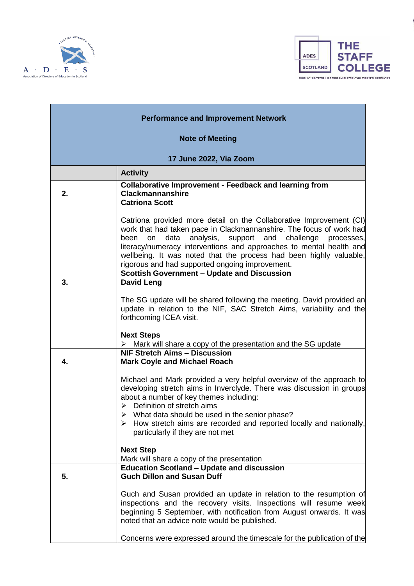



| <b>Performance and Improvement Network</b> |                                                                                                                                                                                                                                                                                                                                                                                                                            |  |
|--------------------------------------------|----------------------------------------------------------------------------------------------------------------------------------------------------------------------------------------------------------------------------------------------------------------------------------------------------------------------------------------------------------------------------------------------------------------------------|--|
| <b>Note of Meeting</b>                     |                                                                                                                                                                                                                                                                                                                                                                                                                            |  |
| 17 June 2022, Via Zoom                     |                                                                                                                                                                                                                                                                                                                                                                                                                            |  |
|                                            | <b>Activity</b>                                                                                                                                                                                                                                                                                                                                                                                                            |  |
| 2.                                         | <b>Collaborative Improvement - Feedback and learning from</b><br><b>Clackmannanshire</b><br><b>Catriona Scott</b>                                                                                                                                                                                                                                                                                                          |  |
|                                            | Catriona provided more detail on the Collaborative Improvement (CI)<br>work that had taken pace in Clackmannanshire. The focus of work had<br>analysis,<br>and<br>data<br>support<br>challenge<br>been<br>on<br>processes,<br>literacy/numeracy interventions and approaches to mental health and<br>wellbeing. It was noted that the process had been highly valuable,<br>rigorous and had supported ongoing improvement. |  |
| 3.                                         | <b>Scottish Government - Update and Discussion</b><br><b>David Leng</b>                                                                                                                                                                                                                                                                                                                                                    |  |
|                                            | The SG update will be shared following the meeting. David provided an<br>update in relation to the NIF, SAC Stretch Aims, variability and the<br>forthcoming ICEA visit.                                                                                                                                                                                                                                                   |  |
|                                            | <b>Next Steps</b><br>$\triangleright$ Mark will share a copy of the presentation and the SG update                                                                                                                                                                                                                                                                                                                         |  |
| 4.                                         | <b>NIF Stretch Aims - Discussion</b><br><b>Mark Coyle and Michael Roach</b>                                                                                                                                                                                                                                                                                                                                                |  |
|                                            | Michael and Mark provided a very helpful overview of the approach to<br>developing stretch aims in Inverclyde. There was discussion in groups<br>about a number of key themes including:<br>$\triangleright$ Definition of stretch aims                                                                                                                                                                                    |  |
|                                            | $\triangleright$ What data should be used in the senior phase?<br>How stretch aims are recorded and reported locally and nationally,<br>➤<br>particularly if they are not met                                                                                                                                                                                                                                              |  |
|                                            | <b>Next Step</b><br>Mark will share a copy of the presentation                                                                                                                                                                                                                                                                                                                                                             |  |
| 5.                                         | <b>Education Scotland - Update and discussion</b><br><b>Guch Dillon and Susan Duff</b>                                                                                                                                                                                                                                                                                                                                     |  |
|                                            | Guch and Susan provided an update in relation to the resumption of<br>inspections and the recovery visits. Inspections will resume week<br>beginning 5 September, with notification from August onwards. It was<br>noted that an advice note would be published.                                                                                                                                                           |  |
|                                            | Concerns were expressed around the timescale for the publication of the                                                                                                                                                                                                                                                                                                                                                    |  |